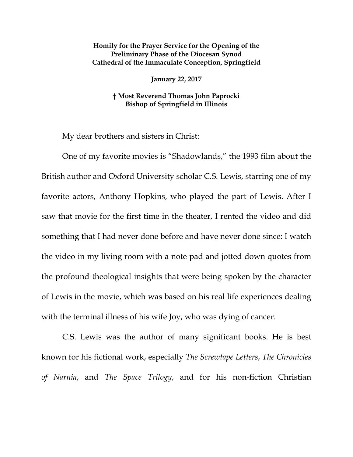## **Homily for the Prayer Service for the Opening of the Preliminary Phase of the Diocesan Synod Cathedral of the Immaculate Conception, Springfield**

**January 22, 2017**

## **† Most Reverend Thomas John Paprocki Bishop of Springfield in Illinois**

My dear brothers and sisters in Christ:

One of my favorite movies is "Shadowlands," the 1993 film about the British author and Oxford University scholar C.S. Lewis, starring one of my favorite actors, Anthony Hopkins, who played the part of Lewis. After I saw that movie for the first time in the theater, I rented the video and did something that I had never done before and have never done since: I watch the video in my living room with a note pad and jotted down quotes from the profound theological insights that were being spoken by the character of Lewis in the movie, which was based on his real life experiences dealing with the terminal illness of his wife Joy, who was dying of cancer.

C.S. Lewis was the author of many significant books. He is best known for his fictional work, especially *The Screwtape Letters*, *The Chronicles of Narnia*, and *The Space Trilogy*, and for his non-fiction Christian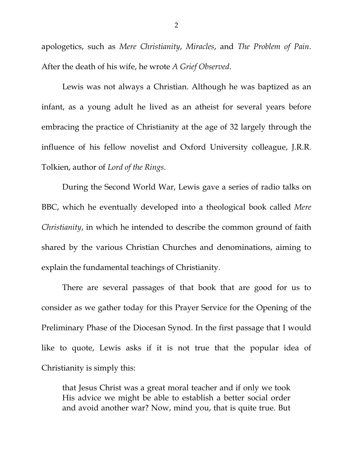apologetics, such as *Mere Christianity*, *Miracles*, and *The Problem of Pain*. After the death of his wife, he wrote *A Grief Observed*.

Lewis was not always a Christian. Although he was baptized as an infant, as a young adult he lived as an atheist for several years before embracing the practice of Christianity at the age of 32 largely through the influence of his fellow novelist and Oxford University colleague, J.R.R. Tolkien, author of *Lord of the Rings*.

During the Second World War, Lewis gave a series of radio talks on BBC, which he eventually developed into a theological book called *Mere Christianity*, in which he intended to describe the common ground of faith shared by the various Christian Churches and denominations, aiming to explain the fundamental teachings of Christianity.

There are several passages of that book that are good for us to consider as we gather today for this Prayer Service for the Opening of the Preliminary Phase of the Diocesan Synod. In the first passage that I would like to quote, Lewis asks if it is not true that the popular idea of Christianity is simply this:

that Jesus Christ was a great moral teacher and if only we took His advice we might be able to establish a better social order and avoid another war? Now, mind you, that is quite true. But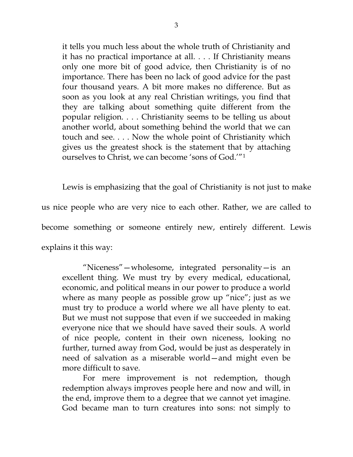it tells you much less about the whole truth of Christianity and it has no practical importance at all. . . . If Christianity means only one more bit of good advice, then Christianity is of no importance. There has been no lack of good advice for the past four thousand years. A bit more makes no difference. But as soon as you look at any real Christian writings, you find that they are talking about something quite different from the popular religion. . . . Christianity seems to be telling us about another world, about something behind the world that we can touch and see. . . . Now the whole point of Christianity which gives us the greatest shock is the statement that by attaching ourselves to Christ, we can become 'sons of God.'"[1](#page-2-0)

Lewis is emphasizing that the goal of Christianity is not just to make us nice people who are very nice to each other. Rather, we are called to become something or someone entirely new, entirely different. Lewis explains it this way:

<span id="page-2-1"></span><span id="page-2-0"></span>"Niceness"—wholesome, integrated personality—is an excellent thing. We must try by every medical, educational, economic, and political means in our power to produce a world where as many people as possible grow up "nice"; just as we must try to produce a world where we all have plenty to eat. But we must not suppose that even if we succeeded in making everyone nice that we should have saved their souls. A world of nice people, content in their own niceness, looking no further, turned away from God, would be just as desperately in need of salvation as a miserable world—and might even be more difficult to save.

<span id="page-2-4"></span><span id="page-2-3"></span><span id="page-2-2"></span>For mere improvement is not redemption, though redemption always improves people here and now and will, in the end, improve them to a degree that we cannot yet imagine. God became man to turn creatures into sons: not simply to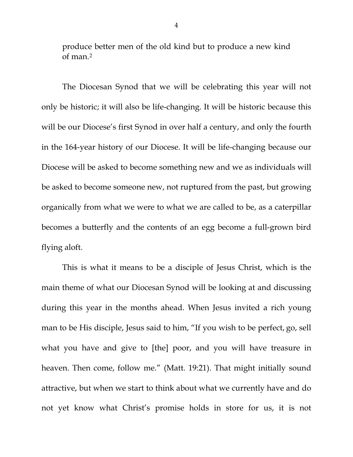produce better men of the old kind but to produce a new kind of man.[2](#page-2-1)

The Diocesan Synod that we will be celebrating this year will not only be historic; it will also be life-changing. It will be historic because this will be our Diocese's first Synod in over half a century, and only the fourth in the 164-year history of our Diocese. It will be life-changing because our Diocese will be asked to become something new and we as individuals will be asked to become someone new, not ruptured from the past, but growing organically from what we were to what we are called to be, as a caterpillar becomes a butterfly and the contents of an egg become a full-grown bird flying aloft.

This is what it means to be a disciple of Jesus Christ, which is the main theme of what our Diocesan Synod will be looking at and discussing during this year in the months ahead. When Jesus invited a rich young man to be His disciple, Jesus said to him, "If you wish to be perfect, go, sell what you have and give to [the] poor, and you will have treasure in heaven. Then come, follow me." (Matt. 19:21). That might initially sound attractive, but when we start to think about what we currently have and do not yet know what Christ's promise holds in store for us, it is not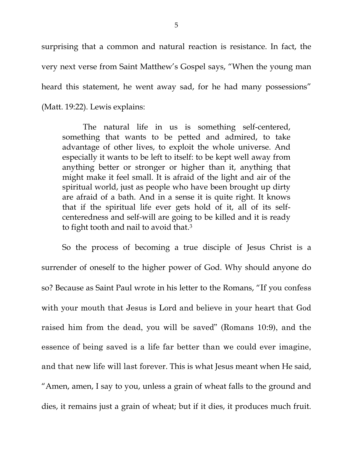surprising that a common and natural reaction is resistance. In fact, the very next verse from Saint Matthew's Gospel says, "When the young man heard this statement, he went away sad, for he had many possessions" (Matt. 19:22). Lewis explains:

The natural life in us is something self-centered, something that wants to be petted and admired, to take advantage of other lives, to exploit the whole universe. And especially it wants to be left to itself: to be kept well away from anything better or stronger or higher than it, anything that might make it feel small. It is afraid of the light and air of the spiritual world, just as people who have been brought up dirty are afraid of a bath. And in a sense it is quite right. It knows that if the spiritual life ever gets hold of it, all of its selfcenteredness and self-will are going to be killed and it is ready to fight tooth and nail to avoid that.[3](#page-2-2)

So the process of becoming a true disciple of Jesus Christ is a surrender of oneself to the higher power of God. Why should anyone do so? Because as Saint Paul wrote in his letter to the Romans, "If you confess with your mouth that Jesus is Lord and believe in your heart that God raised him from the dead, you will be saved" (Romans 10:9), and the essence of being saved is a life far better than we could ever imagine, and that new life will last forever. This is what Jesus meant when He said, "Amen, amen, I say to you, unless a grain of wheat falls to the ground and dies, it remains just a grain of wheat; but if it dies, it produces much fruit.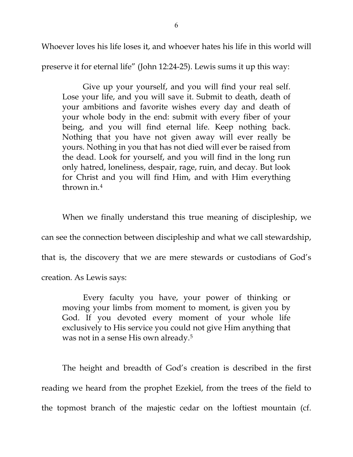Whoever loves his life loses it, and whoever hates his life in this world will

preserve it for eternal life" (John 12:24-25). Lewis sums it up this way:

Give up your yourself, and you will find your real self. Lose your life, and you will save it. Submit to death, death of your ambitions and favorite wishes every day and death of your whole body in the end: submit with every fiber of your being, and you will find eternal life. Keep nothing back. Nothing that you have not given away will ever really be yours. Nothing in you that has not died will ever be raised from the dead. Look for yourself, and you will find in the long run only hatred, loneliness, despair, rage, ruin, and decay. But look for Christ and you will find Him, and with Him everything thrown in.[4](#page-2-3)

When we finally understand this true meaning of discipleship, we can see the connection between discipleship and what we call stewardship, that is, the discovery that we are mere stewards or custodians of God's creation. As Lewis says:

Every faculty you have, your power of thinking or moving your limbs from moment to moment, is given you by God. If you devoted every moment of your whole life exclusively to His service you could not give Him anything that was not in a sense His own already.[5](#page-2-4)

The height and breadth of God's creation is described in the first reading we heard from the prophet Ezekiel, from the trees of the field to the topmost branch of the majestic cedar on the loftiest mountain (cf.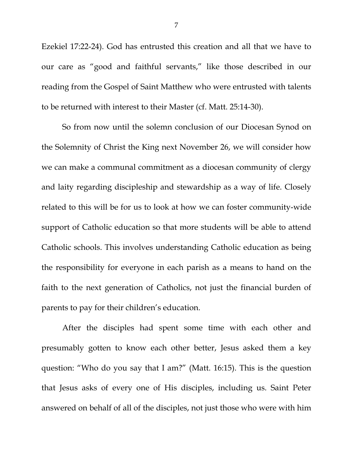Ezekiel 17:22-24). God has entrusted this creation and all that we have to our care as "good and faithful servants," like those described in our reading from the Gospel of Saint Matthew who were entrusted with talents to be returned with interest to their Master (cf. Matt. 25:14-30).

So from now until the solemn conclusion of our Diocesan Synod on the Solemnity of Christ the King next November 26, we will consider how we can make a communal commitment as a diocesan community of clergy and laity regarding discipleship and stewardship as a way of life. Closely related to this will be for us to look at how we can foster community-wide support of Catholic education so that more students will be able to attend Catholic schools. This involves understanding Catholic education as being the responsibility for everyone in each parish as a means to hand on the faith to the next generation of Catholics, not just the financial burden of parents to pay for their children's education.

After the disciples had spent some time with each other and presumably gotten to know each other better, Jesus asked them a key question: "Who do you say that I am?" (Matt. 16:15). This is the question that Jesus asks of every one of His disciples, including us. Saint Peter answered on behalf of all of the disciples, not just those who were with him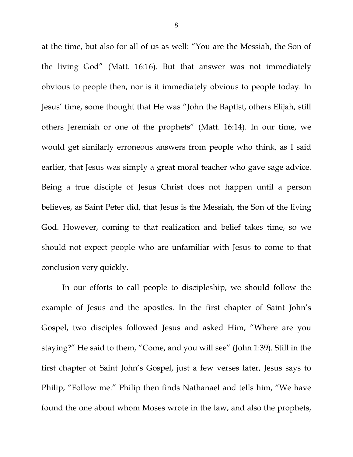at the time, but also for all of us as well: "You are the Messiah, the Son of the living God" (Matt. 16:16). But that answer was not immediately obvious to people then, nor is it immediately obvious to people today. In Jesus' time, some thought that He was "John the Baptist, others Elijah, still others Jeremiah or one of the prophets" (Matt. 16:14). In our time, we would get similarly erroneous answers from people who think, as I said earlier, that Jesus was simply a great moral teacher who gave sage advice. Being a true disciple of Jesus Christ does not happen until a person believes, as Saint Peter did, that Jesus is the Messiah, the Son of the living God. However, coming to that realization and belief takes time, so we should not expect people who are unfamiliar with Jesus to come to that conclusion very quickly.

In our efforts to call people to discipleship, we should follow the example of Jesus and the apostles. In the first chapter of Saint John's Gospel, two disciples followed Jesus and asked Him, "Where are you staying?" He said to them, "Come, and you will see" (John 1:39). Still in the first chapter of Saint John's Gospel, just a few verses later, Jesus says to Philip, "Follow me." Philip then finds Nathanael and tells him, "We have found the one about whom Moses wrote in the law, and also the prophets,